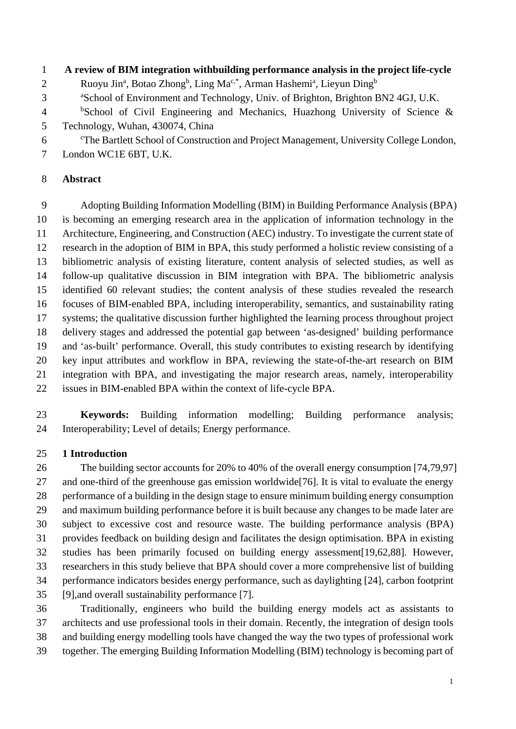**A review of BIM integration withbuilding performance analysis in the project life-cycle**

2 Ruoyu Jin<sup>a</sup>, Botao Zhong<sup>b</sup>, Ling Ma<sup>c,\*</sup>, Arman Hashemi<sup>a</sup>, Lieyun Ding<sup>b</sup>

<sup>a</sup> School of Environment and Technology, Univ. of Brighton, Brighton BN2 4GJ, U.K.

<sup>b</sup> 4 <sup>b</sup> School of Civil Engineering and Mechanics, Huazhong University of Science & Technology, Wuhan, 430074, China

<sup>c</sup> The Bartlett School of Construction and Project Management, University College London, London WC1E 6BT, U.K.

# **Abstract**

 Adopting Building Information Modelling (BIM) in Building Performance Analysis (BPA) is becoming an emerging research area in the application of information technology in the Architecture, Engineering, and Construction (AEC) industry. To investigate the current state of research in the adoption of BIM in BPA, this study performed a holistic review consisting of a bibliometric analysis of existing literature, content analysis of selected studies, as well as follow-up qualitative discussion in BIM integration with BPA. The bibliometric analysis identified 60 relevant studies; the content analysis of these studies revealed the research focuses of BIM-enabled BPA, including interoperability, semantics, and sustainability rating systems; the qualitative discussion further highlighted the learning process throughout project delivery stages and addressed the potential gap between 'as-designed' building performance and 'as-built' performance. Overall, this study contributes to existing research by identifying key input attributes and workflow in BPA, reviewing the state-of-the-art research on BIM integration with BPA, and investigating the major research areas, namely, interoperability issues in BIM-enabled BPA within the context of life-cycle BPA.

 **Keywords:** Building information modelling; Building performance analysis; Interoperability; Level of details; Energy performance.

## **1 Introduction**

 The building sector accounts for 20% to 40% of the overall energy consumption [\[74,](#page-20-0)[79,](#page-20-1)[97\]](#page-21-0) and one-third of the greenhouse gas emission worldwide[\[76\]](#page-20-2). It is vital to evaluate the energy performance of a building in the design stage to ensure minimum building energy consumption and maximum building performance before it is built because any changes to be made later are subject to excessive cost and resource waste. The building performance analysis (BPA) provides feedback on building design and facilitates the design optimisation. BPA in existing studies has been primarily focused on building energy assessment[\[19](#page-16-0)[,62](#page-19-0)[,88\]](#page-20-3). However, researchers in this study believe that BPA should cover a more comprehensive list of building performance indicators besides energy performance, such as daylighting [\[24\]](#page-17-0), carbon footprint [\[9\]](#page-16-1),and overall sustainability performance [\[7\]](#page-16-2).

 Traditionally, engineers who build the building energy models act as assistants to architects and use professional tools in their domain. Recently, the integration of design tools and building energy modelling tools have changed the way the two types of professional work together. The emerging Building Information Modelling (BIM) technology is becoming part of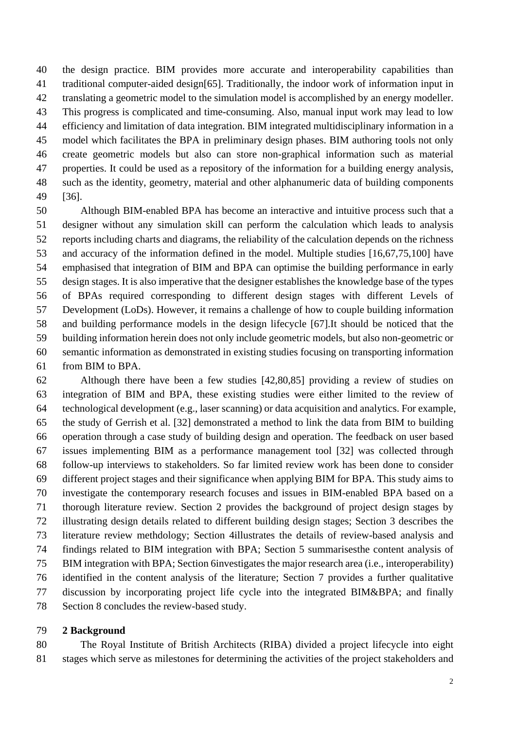the design practice. BIM provides more accurate and interoperability capabilities than traditional computer-aided design[\[65\]](#page-19-1). Traditionally, the indoor work of information input in translating a geometric model to the simulation model is accomplished by an energy modeller. This progress is complicated and time-consuming. Also, manual input work may lead to low efficiency and limitation of data integration. BIM integrated multidisciplinary information in a model which facilitates the BPA in preliminary design phases. BIM authoring tools not only create geometric models but also can store non-graphical information such as material properties. It could be used as a repository of the information for a building energy analysis, such as the identity, geometry, material and other alphanumeric data of building components [\[36\]](#page-17-1).

 Although BIM-enabled BPA has become an interactive and intuitive process such that a designer without any simulation skill can perform the calculation which leads to analysis reports including charts and diagrams, the reliability of the calculation depends on the richness and accuracy of the information defined in the model. Multiple studies [\[16](#page-16-3)[,67](#page-19-2)[,75](#page-20-4)[,100\]](#page-21-1) have emphasised that integration of BIM and BPA can optimise the building performance in early design stages. It is also imperative that the designer establishes the knowledge base of the types of BPAs required corresponding to different design stages with different Levels of Development (LoDs). However, it remains a challenge of how to couple building information and building performance models in the design lifecycle [\[67\]](#page-19-2).It should be noticed that the building information herein does not only include geometric models, but also non-geometric or semantic information as demonstrated in existing studies focusing on transporting information from BIM to BPA.

 Although there have been a few studies [\[42](#page-18-0)[,80,](#page-20-5)[85\]](#page-20-6) providing a review of studies on integration of BIM and BPA, these existing studies were either limited to the review of technological development (e.g., laser scanning) or data acquisition and analytics. For example, the study of Gerrish et al. [\[32\]](#page-17-2) demonstrated a method to link the data from BIM to building operation through a case study of building design and operation. The feedback on user based issues implementing BIM as a performance management tool [\[32\]](#page-17-2) was collected through follow-up interviews to stakeholders. So far limited review work has been done to consider different project stages and their significance when applying BIM for BPA. This study aims to investigate the contemporary research focuses and issues in BIM-enabled BPA based on a thorough literature review. Section 2 provides the background of project design stages by illustrating design details related to different building design stages; Section 3 describes the literature review methdology; Section 4illustrates the details of review-based analysis and findings related to BIM integration with BPA; Section 5 summarisesthe content analysis of BIM integration with BPA; Section 6investigates the major research area (i.e., interoperability) identified in the content analysis of the literature; Section 7 provides a further qualitative discussion by incorporating project life cycle into the integrated BIM&BPA; and finally Section 8 concludes the review-based study.

#### **2 Background**

 The Royal Institute of British Architects (RIBA) divided a project lifecycle into eight stages which serve as milestones for determining the activities of the project stakeholders and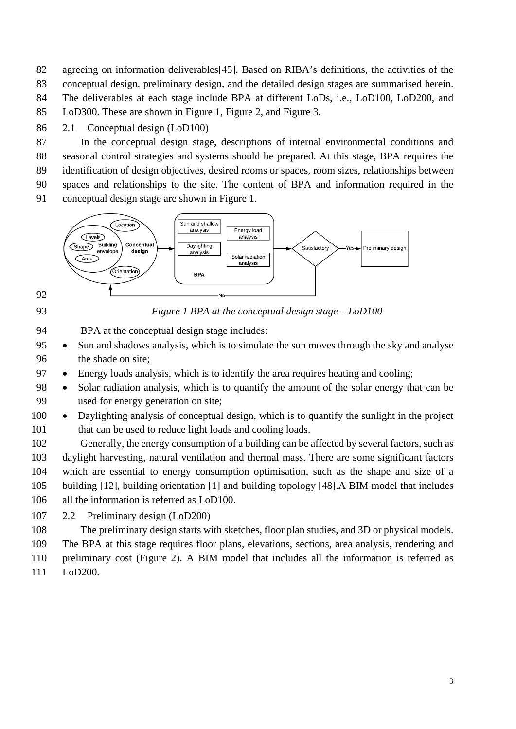agreeing on information deliverables[\[45\]](#page-18-1). Based on RIBA's definitions, the activities of the conceptual design, preliminary design, and the detailed design stages are summarised herein. The deliverables at each stage include BPA at different LoDs, i.e., LoD100, LoD200, and LoD300. These are shown in [Figure 1,](#page-2-0) [Figure 2,](#page-3-0) and [Figure 3.](#page-4-0)

2.1 Conceptual design (LoD100)

 In the conceptual design stage, descriptions of internal environmental conditions and seasonal control strategies and systems should be prepared. At this stage, BPA requires the identification of design objectives, desired rooms or spaces, room sizes, relationships between spaces and relationships to the site. The content of BPA and information required in the conceptual design stage are shown in [Figure 1.](#page-2-0)



- 
- <span id="page-2-0"></span>

*Figure 1 BPA at the conceptual design stage – LoD100*

- BPA at the conceptual design stage includes:
- Sun and shadows analysis, which is to simulate the sun moves through the sky and analyse the shade on site;
- Energy loads analysis, which is to identify the area requires heating and cooling;
- Solar radiation analysis, which is to quantify the amount of the solar energy that can be used for energy generation on site;
- Daylighting analysis of conceptual design, which is to quantify the sunlight in the project that can be used to reduce light loads and cooling loads.

 Generally, the energy consumption of a building can be affected by several factors, such as daylight harvesting, natural ventilation and thermal mass. There are some significant factors which are essential to energy consumption optimisation, such as the shape and size of a building [\[12\]](#page-16-4), building orientation [\[1\]](#page-15-0) and building topology [\[48\]](#page-18-2).A BIM model that includes all the information is referred as LoD100.

2.2 Preliminary design (LoD200)

The preliminary design starts with sketches, floor plan studies, and 3D or physical models.

- The BPA at this stage requires floor plans, elevations, sections, area analysis, rendering and
- preliminary cost [\(Figure 2\)](#page-3-0). A BIM model that includes all the information is referred as
- LoD200.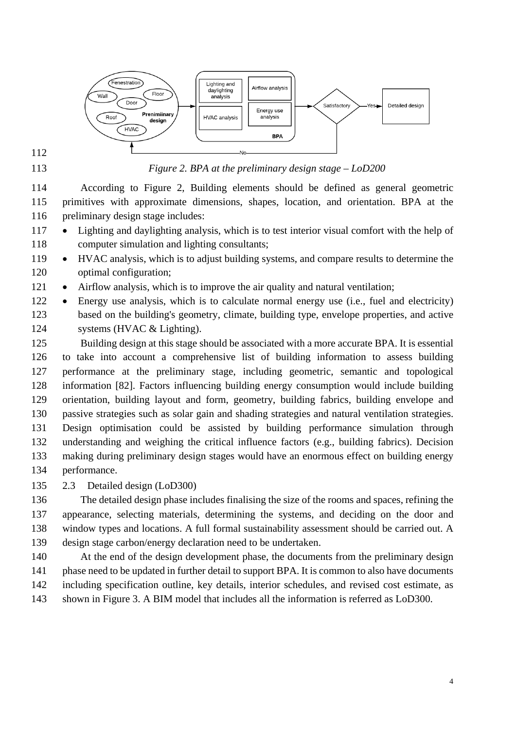

- 
- <span id="page-3-0"></span>

*Figure 2. BPA at the preliminary design stage – LoD200*

 According to Figure 2, Building elements should be defined as general geometric primitives with approximate dimensions, shapes, location, and orientation. BPA at the preliminary design stage includes:

- Lighting and daylighting analysis, which is to test interior visual comfort with the help of computer simulation and lighting consultants;
- HVAC analysis, which is to adjust building systems, and compare results to determine the optimal configuration;
- Airflow analysis, which is to improve the air quality and natural ventilation;
- Energy use analysis, which is to calculate normal energy use (i.e., fuel and electricity) based on the building's geometry, climate, building type, envelope properties, and active systems (HVAC & Lighting).

 Building design at this stage should be associated with a more accurate BPA. It is essential to take into account a comprehensive list of building information to assess building performance at the preliminary stage, including geometric, semantic and topological information [\[82\]](#page-20-7). Factors influencing building energy consumption would include building orientation, building layout and form, geometry, building fabrics, building envelope and passive strategies such as solar gain and shading strategies and natural ventilation strategies. Design optimisation could be assisted by building performance simulation through understanding and weighing the critical influence factors (e.g., building fabrics). Decision making during preliminary design stages would have an enormous effect on building energy performance.

2.3 Detailed design (LoD300)

 The detailed design phase includes finalising the size of the rooms and spaces, refining the appearance, selecting materials, determining the systems, and deciding on the door and window types and locations. A full formal sustainability assessment should be carried out. A design stage carbon/energy declaration need to be undertaken.

 At the end of the design development phase, the documents from the preliminary design phase need to be updated in further detail to support BPA. It is common to also have documents including specification outline, key details, interior schedules, and revised cost estimate, as shown in [Figure 3.](#page-4-0) A BIM model that includes all the information is referred as LoD300.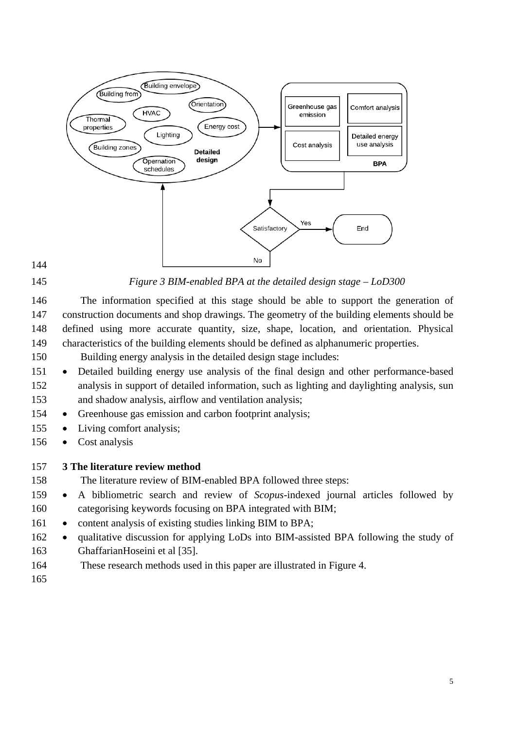

<span id="page-4-0"></span>

*Figure 3 BIM-enabled BPA at the detailed design stage – LoD300*

 The information specified at this stage should be able to support the generation of construction documents and shop drawings. The geometry of the building elements should be defined using more accurate quantity, size, shape, location, and orientation. Physical characteristics of the building elements should be defined as alphanumeric properties.

Building energy analysis in the detailed design stage includes:

- Detailed building energy use analysis of the final design and other performance-based analysis in support of detailed information, such as lighting and daylighting analysis, sun and shadow analysis, airflow and ventilation analysis;
- Greenhouse gas emission and carbon footprint analysis;
- Living comfort analysis;
- Cost analysis

## **3 The literature review method**

- The literature review of BIM-enabled BPA followed three steps:
- A bibliometric search and review of *Scopus*-indexed journal articles followed by categorising keywords focusing on BPA integrated with BIM;
- 161 content analysis of existing studies linking BIM to BPA;
- qualitative discussion for applying LoDs into BIM-assisted BPA following the study of GhaffarianHoseini et al [\[35\]](#page-17-3).
- These research methods used in this paper are illustrated in [Figure 4.](#page-5-0)
-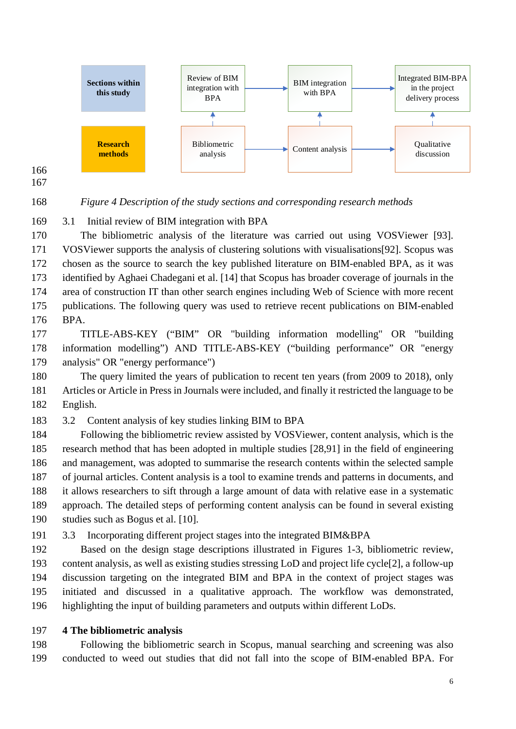<span id="page-5-0"></span>

### *Figure 4 Description of the study sections and corresponding research methods*

3.1 Initial review of BIM integration with BPA

 The bibliometric analysis of the literature was carried out using VOSViewer [\[93\]](#page-21-2). VOSViewer supports the analysis of clustering solutions with visualisations[\[92\]](#page-21-3). Scopus was chosen as the source to search the key published literature on BIM-enabled BPA, as it was identified by Aghaei Chadegani et al. [\[14\]](#page-16-5) that Scopus has broader coverage of journals in the area of construction IT than other search engines including Web of Science with more recent publications. The following query was used to retrieve recent publications on BIM-enabled BPA.

 TITLE-ABS-KEY ("BIM" OR "building information modelling" OR "building information modelling") AND TITLE-ABS-KEY ("building performance" OR "energy analysis" OR "energy performance")

 The query limited the years of publication to recent ten years (from 2009 to 2018), only Articles or Article in Press in Journals were included, and finally it restricted the language to be English.

3.2 Content analysis of key studies linking BIM to BPA

 Following the bibliometric review assisted by VOSViewer, content analysis, which is the research method that has been adopted in multiple studies [\[28](#page-17-4)[,91\]](#page-21-4) in the field of engineering and management, was adopted to summarise the research contents within the selected sample of journal articles. Content analysis is a tool to examine trends and patterns in documents, and it allows researchers to sift through a large amount of data with relative ease in a systematic approach. The detailed steps of performing content analysis can be found in several existing studies such as Bogus et al. [\[10\]](#page-16-6).

3.3 Incorporating different project stages into the integrated BIM&BPA

 Based on the design stage descriptions illustrated in Figures 1-3, bibliometric review, content analysis, as well as existing studies stressing LoD and project life cycle[\[2\]](#page-15-1), a follow-up discussion targeting on the integrated BIM and BPA in the context of project stages was initiated and discussed in a qualitative approach. The workflow was demonstrated, highlighting the input of building parameters and outputs within different LoDs.

### **4 The bibliometric analysis**

 Following the bibliometric search in Scopus, manual searching and screening was also conducted to weed out studies that did not fall into the scope of BIM-enabled BPA. For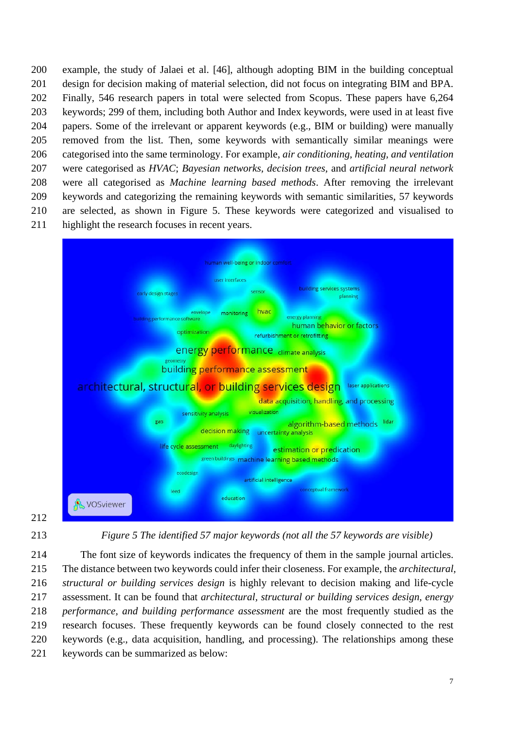example, the study of Jalaei et al. [\[46\]](#page-18-3), although adopting BIM in the building conceptual design for decision making of material selection, did not focus on integrating BIM and BPA. Finally, 546 research papers in total were selected from Scopus. These papers have 6,264 keywords; 299 of them, including both Author and Index keywords, were used in at least five papers. Some of the irrelevant or apparent keywords (e.g., BIM or building) were manually removed from the list. Then, some keywords with semantically similar meanings were categorised into the same terminology. For example, *air conditioning, heating, and ventilation*  were categorised as *HVAC*; *Bayesian networks, decision trees,* and *artificial neural network*  were all categorised as *Machine learning based methods*. After removing the irrelevant keywords and categorizing the remaining keywords with semantic similarities, 57 keywords are selected, as shown in [Figure 5.](#page-6-0) These keywords were categorized and visualised to highlight the research focuses in recent years.



<span id="page-6-0"></span>*Figure 5 The identified 57 major keywords (not all the 57 keywords are visible)*

 The font size of keywords indicates the frequency of them in the sample journal articles. The distance between two keywords could infer their closeness. For example, the *architectural, structural or building services design* is highly relevant to decision making and life-cycle assessment. It can be found that *architectural, structural or building services design, energy performance, and building performance assessment* are the most frequently studied as the research focuses. These frequently keywords can be found closely connected to the rest keywords (e.g., data acquisition, handling, and processing). The relationships among these keywords can be summarized as below: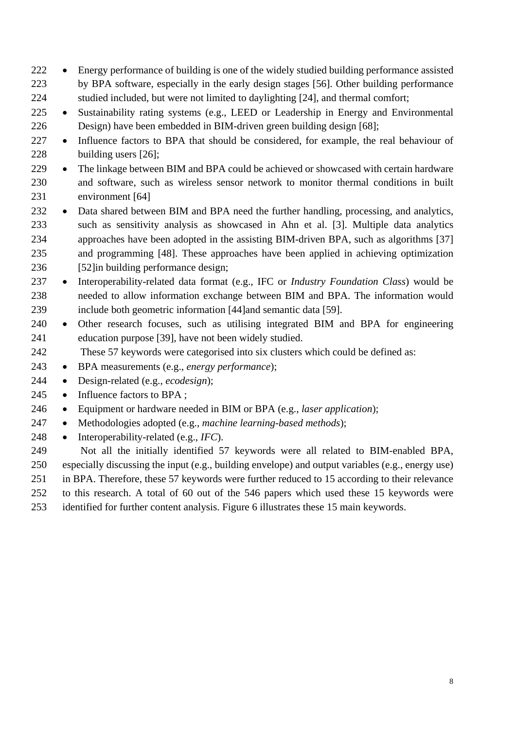- Energy performance of building is one of the widely studied building performance assisted by BPA software, especially in the early design stages [\[56\]](#page-19-3). Other building performance studied included, but were not limited to daylighting [\[24\]](#page-17-0), and thermal comfort;
- Sustainability rating systems (e.g., LEED or Leadership in Energy and Environmental Design) have been embedded in BIM-driven green building design [\[68\]](#page-19-4);
- Influence factors to BPA that should be considered, for example, the real behaviour of building users [\[26\]](#page-17-5);
- The linkage between BIM and BPA could be achieved or showcased with certain hardware and software, such as wireless sensor network to monitor thermal conditions in built environment [\[64\]](#page-19-5)
- Data shared between BIM and BPA need the further handling, processing, and analytics, such as sensitivity analysis as showcased in Ahn et al. [\[3\]](#page-16-7). Multiple data analytics approaches have been adopted in the assisting BIM-driven BPA, such as algorithms [\[37\]](#page-18-4) and programming [\[48\]](#page-18-2). These approaches have been applied in achieving optimization [\[52\]](#page-18-5)in building performance design;
- Interoperability-related data format (e.g., IFC or *Industry Foundation Class*) would be needed to allow information exchange between BIM and BPA. The information would include both geometric information [\[44\]](#page-18-6)and semantic data [\[59\]](#page-19-6).
- Other research focuses, such as utilising integrated BIM and BPA for engineering education purpose [\[39\]](#page-18-7), have not been widely studied.
- These 57 keywords were categorised into six clusters which could be defined as:
- BPA measurements (e.g., *energy performance*);
- Design-related (e.g., *ecodesign*);
- 245 Influence factors to BPA :
- Equipment or hardware needed in BIM or BPA (e.g., *laser application*);
- Methodologies adopted (e.g., *machine learning-based methods*);
- Interoperability-related (e.g., *IFC*).

 Not all the initially identified 57 keywords were all related to BIM-enabled BPA, especially discussing the input (e.g., building envelope) and output variables (e.g., energy use) in BPA. Therefore, these 57 keywords were further reduced to 15 according to their relevance to this research. A total of 60 out of the 546 papers which used these 15 keywords were identified for further content analysis. [Figure 6](#page-8-0) illustrates these 15 main keywords.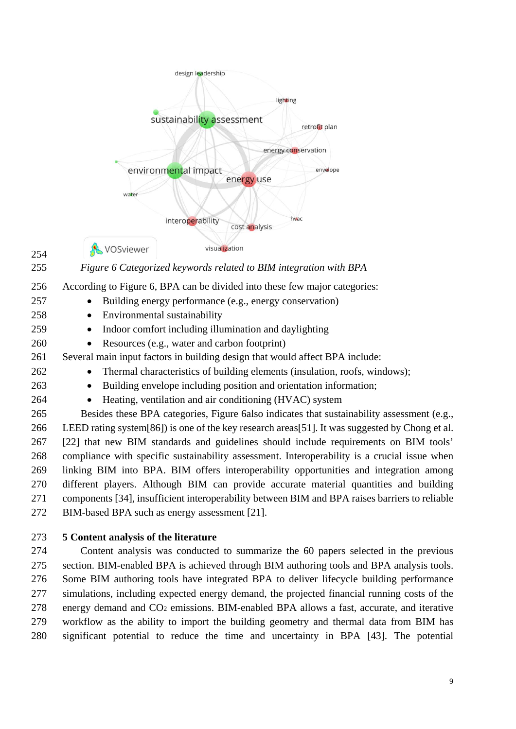

### <span id="page-8-0"></span>*Figure 6 Categorized keywords related to BIM integration with BPA*

According to [Figure 6,](#page-8-0) BPA can be divided into these few major categories:

• Building energy performance (e.g., energy conservation)

- 258 Environmental sustainability
- Indoor comfort including illumination and daylighting
- Resources (e.g., water and carbon footprint)
- Several main input factors in building design that would affect BPA include:
- Thermal characteristics of building elements (insulation, roofs, windows);
- Building envelope including position and orientation information;
- Heating, ventilation and air conditioning (HVAC) system

 Besides these BPA categories, [Figure 6a](#page-8-0)lso indicates that sustainability assessment (e.g., LEED rating system[\[86\]](#page-20-8)) is one of the key research areas[\[51\]](#page-18-8). It was suggested by Chong et al. [\[22\]](#page-17-6) that new BIM standards and guidelines should include requirements on BIM tools' compliance with specific sustainability assessment. Interoperability is a crucial issue when linking BIM into BPA. BIM offers interoperability opportunities and integration among different players. Although BIM can provide accurate material quantities and building components [\[34\]](#page-17-7), insufficient interoperability between BIM and BPA raises barriers to reliable BIM-based BPA such as energy assessment [\[21\]](#page-17-8).

### **5 Content analysis of the literature**

 Content analysis was conducted to summarize the 60 papers selected in the previous section. BIM-enabled BPA is achieved through BIM authoring tools and BPA analysis tools. Some BIM authoring tools have integrated BPA to deliver lifecycle building performance simulations, including expected energy demand, the projected financial running costs of the energy demand and CO2 emissions. BIM-enabled BPA allows a fast, accurate, and iterative workflow as the ability to import the building geometry and thermal data from BIM has significant potential to reduce the time and uncertainty in BPA [\[43\]](#page-18-9). The potential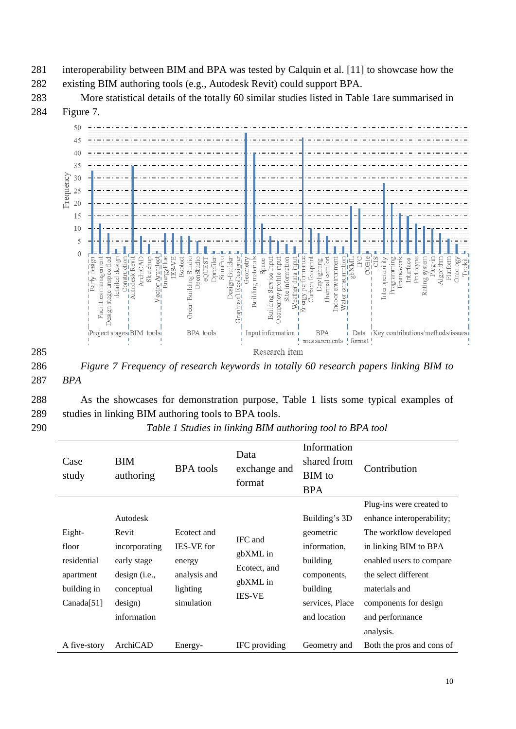- 281 interoperability between BIM and BPA was tested by Calquin et al. [\[11\]](#page-16-8) to showcase how the
- 282 existing BIM authoring tools (e.g., Autodesk Revit) could support BPA.
- 283 More statistical details of the totally 60 similar studies listed in [Table 1a](#page-9-0)re summarised in 284 [Figure 7.](#page-9-1)



<span id="page-9-1"></span>286 *Figure 7 Frequency of research keywords in totally 60 research papers linking BIM to*  287 *BPA*

288 As the showcases for demonstration purpose, [Table 1](#page-9-0) lists some typical examples of 289 studies in linking BIM authoring tools to BPA tools.

290 *Table 1 Studies in linking BIM authoring tool to BPA tool*

<span id="page-9-0"></span>

| Case<br>study                                                            | BIM<br>authoring                                                                                 | <b>BPA</b> tools                                                                     | Data<br>exchange and<br>format                                   | Information<br>shared from<br><b>BIM</b> to<br><b>BPA</b>                                           | Contribution                                                                                                                                                                  |
|--------------------------------------------------------------------------|--------------------------------------------------------------------------------------------------|--------------------------------------------------------------------------------------|------------------------------------------------------------------|-----------------------------------------------------------------------------------------------------|-------------------------------------------------------------------------------------------------------------------------------------------------------------------------------|
|                                                                          | Autodesk                                                                                         |                                                                                      |                                                                  | Building's 3D                                                                                       | Plug-ins were created to<br>enhance interoperability;                                                                                                                         |
| Eight-<br>floor<br>residential<br>apartment<br>building in<br>Canada[51] | Revit<br>incorporating<br>early stage<br>$design$ (i.e.,<br>conceptual<br>design)<br>information | Ecotect and<br><b>IES-VE</b> for<br>energy<br>analysis and<br>lighting<br>simulation | IFC and<br>gbXML in<br>Ecotect, and<br>gbXML in<br><b>IES-VE</b> | geometric<br>information,<br>building<br>components,<br>building<br>services, Place<br>and location | The workflow developed<br>in linking BIM to BPA<br>enabled users to compare<br>the select different<br>materials and<br>components for design<br>and performance<br>analysis. |
| A five-story                                                             | ArchiCAD                                                                                         | Energy-                                                                              | IFC providing                                                    | Geometry and                                                                                        | Both the pros and cons of                                                                                                                                                     |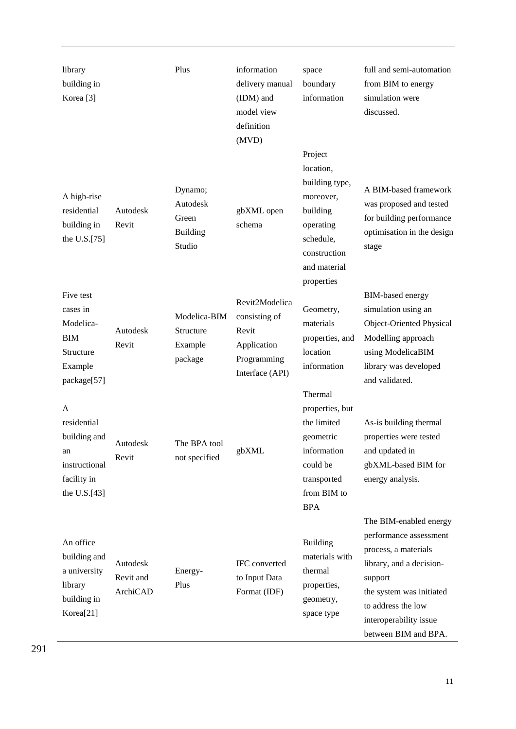| library<br>building in<br>Korea <sup>[3]</sup>                                               |                                   | Plus                                                      | information<br>delivery manual<br>(IDM) and<br>model view<br>definition<br>(MVD)          | space<br>boundary<br>information                                                                                                        | full and semi-automation<br>from BIM to energy<br>simulation were<br>discussed.                                                                                                                                     |
|----------------------------------------------------------------------------------------------|-----------------------------------|-----------------------------------------------------------|-------------------------------------------------------------------------------------------|-----------------------------------------------------------------------------------------------------------------------------------------|---------------------------------------------------------------------------------------------------------------------------------------------------------------------------------------------------------------------|
| A high-rise<br>residential<br>building in<br>the U.S.[75]                                    | Autodesk<br>Revit                 | Dynamo;<br>Autodesk<br>Green<br><b>Building</b><br>Studio | gbXML open<br>schema                                                                      | Project<br>location,<br>building type,<br>moreover,<br>building<br>operating<br>schedule,<br>construction<br>and material<br>properties | A BIM-based framework<br>was proposed and tested<br>for building performance<br>optimisation in the design<br>stage                                                                                                 |
| Five test<br>cases in<br>Modelica-<br><b>BIM</b><br>Structure<br>Example<br>package[57]      | Autodesk<br>Revit                 | Modelica-BIM<br>Structure<br>Example<br>package           | Revit2Modelica<br>consisting of<br>Revit<br>Application<br>Programming<br>Interface (API) | Geometry,<br>materials<br>properties, and<br>location<br>information                                                                    | <b>BIM-based energy</b><br>simulation using an<br>Object-Oriented Physical<br>Modelling approach<br>using ModelicaBIM<br>library was developed<br>and validated.                                                    |
| A<br>residential<br>building and<br>an<br>instructional<br>facility in<br>the $U.S.[43]$     | Autodesk<br>Revit                 | The BPA tool<br>not specified                             | gbXML                                                                                     | Thermal<br>properties, but<br>the limited<br>geometric<br>information<br>could be<br>transported<br>from BIM to<br><b>BPA</b>           | As-is building thermal<br>properties were tested<br>and updated in<br>gbXML-based BIM for<br>energy analysis.                                                                                                       |
| An office<br>building and<br>a university<br>library<br>building in<br>Korea <sup>[21]</sup> | Autodesk<br>Revit and<br>ArchiCAD | Energy-<br>Plus                                           | IFC converted<br>to Input Data<br>Format (IDF)                                            | <b>Building</b><br>materials with<br>thermal<br>properties,<br>geometry,<br>space type                                                  | The BIM-enabled energy<br>performance assessment<br>process, a materials<br>library, and a decision-<br>support<br>the system was initiated<br>to address the low<br>interoperability issue<br>between BIM and BPA. |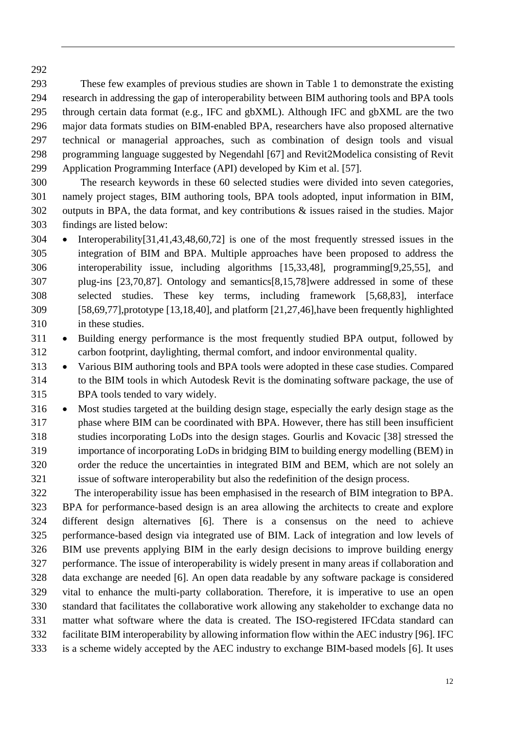These few examples of previous studies are shown in [Table 1](#page-9-0) to demonstrate the existing research in addressing the gap of interoperability between BIM authoring tools and BPA tools through certain data format (e.g., IFC and gbXML). Although IFC and gbXML are the two major data formats studies on BIM-enabled BPA, researchers have also proposed alternative technical or managerial approaches, such as combination of design tools and visual programming language suggested by Negendahl [\[67\]](#page-19-2) and Revit2Modelica consisting of Revit Application Programming Interface (API) developed by Kim et al. [\[57\]](#page-19-7).

 The research keywords in these 60 selected studies were divided into seven categories, namely project stages, BIM authoring tools, BPA tools adopted, input information in BIM, outputs in BPA, the data format, and key contributions & issues raised in the studies. Major findings are listed below:

 • Interoperability[\[31](#page-17-9)[,41](#page-18-10)[,43](#page-18-9)[,48](#page-18-2)[,60](#page-19-8)[,72\]](#page-19-9) is one of the most frequently stressed issues in the integration of BIM and BPA. Multiple approaches have been proposed to address the interoperability issue, including algorithms [\[15,](#page-16-9)[33,](#page-17-10)[48\]](#page-18-2), programming[\[9](#page-16-1)[,25](#page-17-11)[,55\]](#page-19-10), and plug-ins [\[23](#page-17-12)[,70](#page-19-11)[,87\]](#page-20-9). Ontology and semantics[\[8](#page-16-10)[,15](#page-16-9)[,78\]](#page-20-10)were addressed in some of these selected studies. These key terms, including framework [\[5,](#page-16-11)[68,](#page-19-4)[83\]](#page-20-11), interface [\[58,](#page-19-12)[69,](#page-19-13)[77\]](#page-20-12),prototype [\[13,](#page-16-12)[18,](#page-16-13)[40\]](#page-18-11), and platform [\[21,](#page-17-8)[27,](#page-17-13)[46\]](#page-18-3),have been frequently highlighted in these studies.

 • Building energy performance is the most frequently studied BPA output, followed by carbon footprint, daylighting, thermal comfort, and indoor environmental quality.

 • Various BIM authoring tools and BPA tools were adopted in these case studies. Compared to the BIM tools in which Autodesk Revit is the dominating software package, the use of BPA tools tended to vary widely.

 • Most studies targeted at the building design stage, especially the early design stage as the phase where BIM can be coordinated with BPA. However, there has still been insufficient studies incorporating LoDs into the design stages. Gourlis and Kovacic [\[38\]](#page-18-12) stressed the importance of incorporating LoDs in bridging BIM to building energy modelling (BEM) in order the reduce the uncertainties in integrated BIM and BEM, which are not solely an issue of software interoperability but also the redefinition of the design process.

 The interoperability issue has been emphasised in the research of BIM integration to BPA. BPA for performance-based design is an area allowing the architects to create and explore different design alternatives [\[6\]](#page-16-14). There is a consensus on the need to achieve performance-based design via integrated use of BIM. Lack of integration and low levels of BIM use prevents applying BIM in the early design decisions to improve building energy performance. The issue of interoperability is widely present in many areas if collaboration and data exchange are needed [\[6\]](#page-16-14). An open data readable by any software package is considered vital to enhance the multi-party collaboration. Therefore, it is imperative to use an open standard that facilitates the collaborative work allowing any stakeholder to exchange data no matter what software where the data is created. The ISO-registered IFCdata standard can facilitate BIM interoperability by allowing information flow within the AEC industry [\[96\]](#page-21-5). IFC is a scheme widely accepted by the AEC industry to exchange BIM-based models [\[6\]](#page-16-14). It uses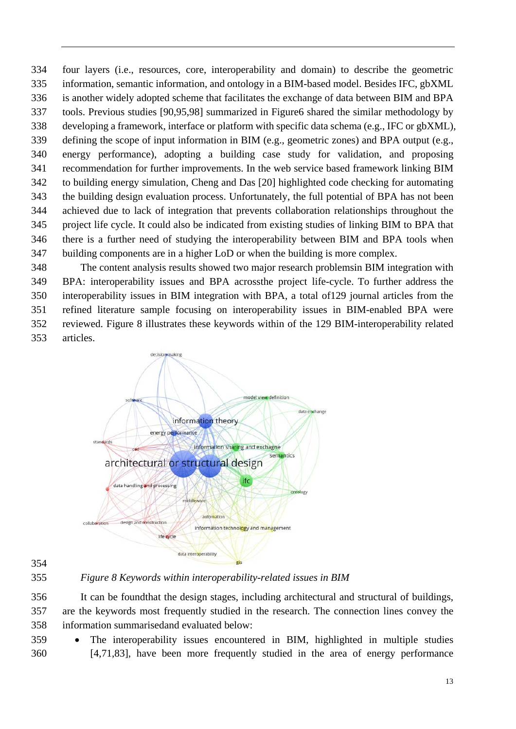four layers (i.e., resources, core, interoperability and domain) to describe the geometric information, semantic information, and ontology in a BIM-based model. Besides IFC, gbXML is another widely adopted scheme that facilitates the exchange of data between BIM and BPA tools. Previous studies [\[90,](#page-21-6)[95,](#page-21-7)[98\]](#page-21-8) summarized in Figure6 shared the similar methodology by developing a framework, interface or platform with specific data schema (e.g., IFC or gbXML), defining the scope of input information in BIM (e.g., geometric zones) and BPA output (e.g., energy performance), adopting a building case study for validation, and proposing recommendation for further improvements. In the web service based framework linking BIM to building energy simulation, Cheng and Das [\[20\]](#page-17-14) highlighted code checking for automating the building design evaluation process. Unfortunately, the full potential of BPA has not been achieved due to lack of integration that prevents collaboration relationships throughout the project life cycle. It could also be indicated from existing studies of linking BIM to BPA that there is a further need of studying the interoperability between BIM and BPA tools when building components are in a higher LoD or when the building is more complex.

 The content analysis results showed two major research problemsin BIM integration with BPA: interoperability issues and BPA acrossthe project life-cycle. To further address the interoperability issues in BIM integration with BPA, a total of129 journal articles from the refined literature sample focusing on interoperability issues in BIM-enabled BPA were reviewed. [Figure 8](#page-12-0) illustrates these keywords within of the 129 BIM-interoperability related articles.



<span id="page-12-0"></span>*Figure 8 Keywords within interoperability-related issues in BIM*

 It can be foundthat the design stages, including architectural and structural of buildings, are the keywords most frequently studied in the research. The connection lines convey the information summarisedand evaluated below:

 • The interoperability issues encountered in BIM, highlighted in multiple studies [\[4](#page-16-15)[,71](#page-19-14)[,83\]](#page-20-11), have been more frequently studied in the area of energy performance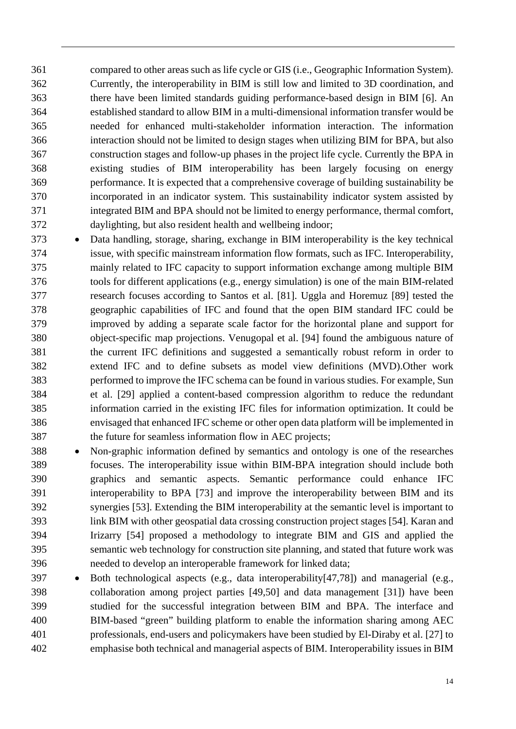compared to other areas such as life cycle or GIS (i.e., Geographic Information System). Currently, the interoperability in BIM is still low and limited to 3D coordination, and there have been limited standards guiding performance-based design in BIM [\[6\]](#page-16-14). An established standard to allow BIM in a multi-dimensional information transfer would be needed for enhanced multi-stakeholder information interaction. The information interaction should not be limited to design stages when utilizing BIM for BPA, but also construction stages and follow-up phases in the project life cycle. Currently the BPA in existing studies of BIM interoperability has been largely focusing on energy performance. It is expected that a comprehensive coverage of building sustainability be incorporated in an indicator system. This sustainability indicator system assisted by integrated BIM and BPA should not be limited to energy performance, thermal comfort, daylighting, but also resident health and wellbeing indoor;

- Data handling, storage, sharing, exchange in BIM interoperability is the key technical issue, with specific mainstream information flow formats, such as IFC. Interoperability, mainly related to IFC capacity to support information exchange among multiple BIM tools for different applications (e.g., energy simulation) is one of the main BIM-related research focuses according to Santos et al. [\[81\]](#page-20-13). Uggla and Horemuz [\[89\]](#page-20-14) tested the geographic capabilities of IFC and found that the open BIM standard IFC could be improved by adding a separate scale factor for the horizontal plane and support for object-specific map projections. Venugopal et al. [\[94\]](#page-21-9) found the ambiguous nature of the current IFC definitions and suggested a semantically robust reform in order to extend IFC and to define subsets as model view definitions (MVD).Other work performed to improve the IFC schema can be found in various studies. For example, Sun et al. [\[29\]](#page-17-15) applied a content-based compression algorithm to reduce the redundant information carried in the existing IFC files for information optimization. It could be envisaged that enhanced IFC scheme or other open data platform will be implemented in the future for seamless information flow in AEC projects;
- Non-graphic information defined by semantics and ontology is one of the researches focuses. The interoperability issue within BIM-BPA integration should include both graphics and semantic aspects. Semantic performance could enhance IFC interoperability to BPA [\[73\]](#page-20-15) and improve the interoperability between BIM and its synergies [\[53\]](#page-18-13). Extending the BIM interoperability at the semantic level is important to link BIM with other geospatial data crossing construction project stages [\[54\]](#page-19-15). Karan and Irizarry [\[54\]](#page-19-15) proposed a methodology to integrate BIM and GIS and applied the semantic web technology for construction site planning, and stated that future work was needed to develop an interoperable framework for linked data;
- Both technological aspects (e.g., data interoperability[\[47,](#page-18-14)[78\]](#page-20-10)) and managerial (e.g., collaboration among project parties [\[49,](#page-18-15)[50\]](#page-18-16) and data management [\[31\]](#page-17-9)) have been studied for the successful integration between BIM and BPA. The interface and BIM-based "green" building platform to enable the information sharing among AEC professionals, end-users and policymakers have been studied by El-Diraby et al. [\[27\]](#page-17-13) to emphasise both technical and managerial aspects of BIM. Interoperability issues in BIM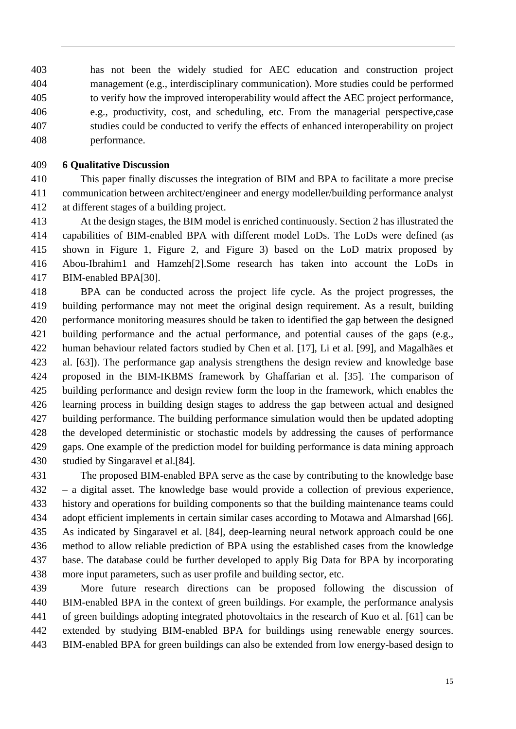has not been the widely studied for AEC education and construction project management (e.g., interdisciplinary communication). More studies could be performed to verify how the improved interoperability would affect the AEC project performance, e.g., productivity, cost, and scheduling, etc. From the managerial perspective,case studies could be conducted to verify the effects of enhanced interoperability on project performance.

#### **6 Qualitative Discussion**

 This paper finally discusses the integration of BIM and BPA to facilitate a more precise communication between architect/engineer and energy modeller/building performance analyst at different stages of a building project.

 At the design stages, the BIM model is enriched continuously. Section 2 has illustrated the capabilities of BIM-enabled BPA with different model LoDs. The LoDs were defined (as shown in [Figure 1,](#page-2-0) [Figure 2,](#page-3-0) and [Figure 3\)](#page-4-0) based on the LoD matrix proposed by Abou-Ibrahim1 and Hamzeh[\[2\]](#page-15-1).Some research has taken into account the LoDs in BIM-enabled BPA[\[30\]](#page-17-16).

 BPA can be conducted across the project life cycle. As the project progresses, the building performance may not meet the original design requirement. As a result, building performance monitoring measures should be taken to identified the gap between the designed building performance and the actual performance, and potential causes of the gaps (e.g., human behaviour related factors studied by Chen et al. [\[17\]](#page-16-16), Li et al. [\[99\]](#page-21-10), and Magalhães et al. [\[63\]](#page-19-16)). The performance gap analysis strengthens the design review and knowledge base proposed in the BIM-IKBMS framework by Ghaffarian et al. [\[35\]](#page-17-3). The comparison of building performance and design review form the loop in the framework, which enables the learning process in building design stages to address the gap between actual and designed building performance. The building performance simulation would then be updated adopting the developed deterministic or stochastic models by addressing the causes of performance gaps. One example of the prediction model for building performance is data mining approach studied by Singaravel et al.[\[84\]](#page-20-16).

 The proposed BIM-enabled BPA serve as the case by contributing to the knowledge base – a digital asset. The knowledge base would provide a collection of previous experience, history and operations for building components so that the building maintenance teams could adopt efficient implements in certain similar cases according to Motawa and Almarshad [\[66\]](#page-19-17). As indicated by Singaravel et al. [\[84\]](#page-20-16), deep-learning neural network approach could be one method to allow reliable prediction of BPA using the established cases from the knowledge base. The database could be further developed to apply Big Data for BPA by incorporating more input parameters, such as user profile and building sector, etc.

 More future research directions can be proposed following the discussion of BIM-enabled BPA in the context of green buildings. For example, the performance analysis of green buildings adopting integrated photovoltaics in the research of Kuo et al. [\[61\]](#page-19-18) can be extended by studying BIM-enabled BPA for buildings using renewable energy sources. BIM-enabled BPA for green buildings can also be extended from low energy-based design to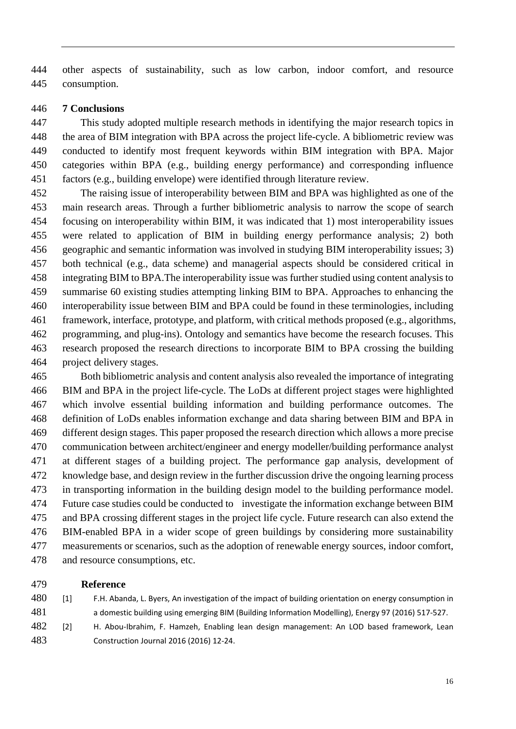other aspects of sustainability, such as low carbon, indoor comfort, and resource consumption.

#### **7 Conclusions**

 This study adopted multiple research methods in identifying the major research topics in the area of BIM integration with BPA across the project life-cycle. A bibliometric review was conducted to identify most frequent keywords within BIM integration with BPA. Major categories within BPA (e.g., building energy performance) and corresponding influence factors (e.g., building envelope) were identified through literature review.

 The raising issue of interoperability between BIM and BPA was highlighted as one of the main research areas. Through a further bibliometric analysis to narrow the scope of search focusing on interoperability within BIM, it was indicated that 1) most interoperability issues were related to application of BIM in building energy performance analysis; 2) both geographic and semantic information was involved in studying BIM interoperability issues; 3) both technical (e.g., data scheme) and managerial aspects should be considered critical in integrating BIM to BPA.The interoperability issue was further studied using content analysis to summarise 60 existing studies attempting linking BIM to BPA. Approaches to enhancing the interoperability issue between BIM and BPA could be found in these terminologies, including framework, interface, prototype, and platform, with critical methods proposed (e.g., algorithms, programming, and plug-ins). Ontology and semantics have become the research focuses. This research proposed the research directions to incorporate BIM to BPA crossing the building project delivery stages.

 Both bibliometric analysis and content analysis also revealed the importance of integrating BIM and BPA in the project life-cycle. The LoDs at different project stages were highlighted which involve essential building information and building performance outcomes. The definition of LoDs enables information exchange and data sharing between BIM and BPA in different design stages. This paper proposed the research direction which allows a more precise communication between architect/engineer and energy modeller/building performance analyst at different stages of a building project. The performance gap analysis, development of knowledge base, and design review in the further discussion drive the ongoing learning process in transporting information in the building design model to the building performance model. Future case studies could be conducted to investigate the information exchange between BIM and BPA crossing different stages in the project life cycle. Future research can also extend the BIM-enabled BPA in a wider scope of green buildings by considering more sustainability measurements or scenarios, such as the adoption of renewable energy sources, indoor comfort, and resource consumptions, etc.

#### **Reference**

- <span id="page-15-0"></span>480 [1] F.H. Abanda, L. Byers, An investigation of the impact of building orientation on energy consumption in a domestic building using emerging BIM (Building Information Modelling), Energy 97 (2016) 517-527. 482 [2] H. Abou-Ibrahim, F. Hamzeh, Enabling lean design management: An LOD based framework, Lean
- <span id="page-15-1"></span>Construction Journal 2016 (2016) 12-24.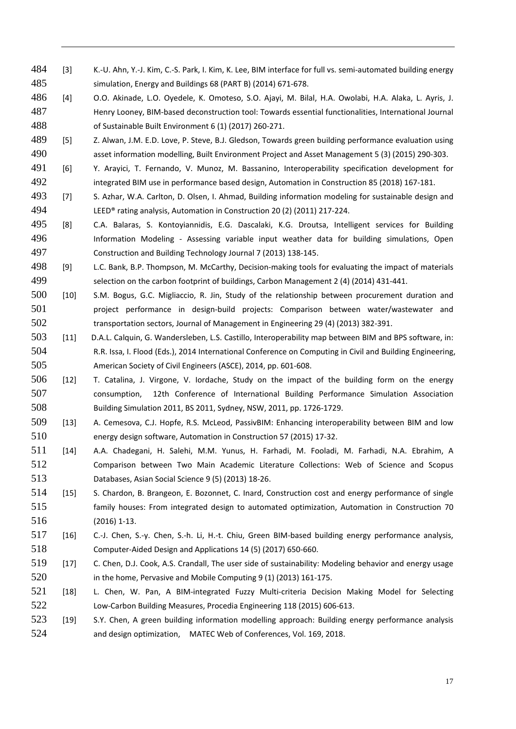- <span id="page-16-7"></span> [3] K.-U. Ahn, Y.-J. Kim, C.-S. Park, I. Kim, K. Lee, BIM interface for full vs. semi-automated building energy simulation, Energy and Buildings 68 (PART B) (2014) 671-678.
- <span id="page-16-15"></span> [4] O.O. Akinade, L.O. Oyedele, K. Omoteso, S.O. Ajayi, M. Bilal, H.A. Owolabi, H.A. Alaka, L. Ayris, J. Henry Looney, BIM-based deconstruction tool: Towards essential functionalities, International Journal of Sustainable Built Environment 6 (1) (2017) 260-271.
- <span id="page-16-11"></span>489 [5] Z. Alwan, J.M. E.D. Love, P. Steve, B.J. Gledson, Towards green building performance evaluation using asset information modelling, Built Environment Project and Asset Management 5 (3) (2015) 290-303.
- <span id="page-16-14"></span> [6] Y. Arayici, T. Fernando, V. Munoz, M. Bassanino, Interoperability specification development for integrated BIM use in performance based design, Automation in Construction 85 (2018) 167-181.
- <span id="page-16-2"></span>493 [7] S. Azhar, W.A. Carlton, D. Olsen, I. Ahmad, Building information modeling for sustainable design and LEED® rating analysis, Automation in Construction 20 (2) (2011) 217-224.
- <span id="page-16-10"></span> [8] C.A. Balaras, S. Kontoyiannidis, E.G. Dascalaki, K.G. Droutsa, Intelligent services for Building 496 Information Modeling - Assessing variable input weather data for building simulations, Open Construction and Building Technology Journal 7 (2013) 138-145.
- <span id="page-16-1"></span> [9] L.C. Bank, B.P. Thompson, M. McCarthy, Decision-making tools for evaluating the impact of materials selection on the carbon footprint of buildings, Carbon Management 2 (4) (2014) 431-441.
- <span id="page-16-6"></span> [10] S.M. Bogus, G.C. Migliaccio, R. Jin, Study of the relationship between procurement duration and project performance in design-build projects: Comparison between water/wastewater and transportation sectors, Journal of Management in Engineering 29 (4) (2013) 382-391.
- <span id="page-16-8"></span> [11] D.A.L. Calquin, G. Wandersleben, L.S. Castillo, Interoperability map between BIM and BPS software, in: R.R. Issa, I. Flood (Eds.), 2014 International Conference on Computing in Civil and Building Engineering, American Society of Civil Engineers (ASCE), 2014, pp. 601-608.
- <span id="page-16-4"></span> [12] T. Catalina, J. Virgone, V. Iordache, Study on the impact of the building form on the energy consumption, 12th Conference of International Building Performance Simulation Association Building Simulation 2011, BS 2011, Sydney, NSW, 2011, pp. 1726-1729.
- <span id="page-16-12"></span> [13] A. Cemesova, C.J. Hopfe, R.S. McLeod, PassivBIM: Enhancing interoperability between BIM and low energy design software, Automation in Construction 57 (2015) 17-32.
- <span id="page-16-5"></span> [14] A.A. Chadegani, H. Salehi, M.M. Yunus, H. Farhadi, M. Fooladi, M. Farhadi, N.A. Ebrahim, A Comparison between Two Main Academic Literature Collections: Web of Science and Scopus Databases, Asian Social Science 9 (5) (2013) 18-26.
- <span id="page-16-9"></span> [15] S. Chardon, B. Brangeon, E. Bozonnet, C. Inard, Construction cost and energy performance of single family houses: From integrated design to automated optimization, Automation in Construction 70 (2016) 1-13.
- <span id="page-16-3"></span> [16] C.-J. Chen, S.-y. Chen, S.-h. Li, H.-t. Chiu, Green BIM-based building energy performance analysis, Computer-Aided Design and Applications 14 (5) (2017) 650-660.
- <span id="page-16-16"></span> [17] C. Chen, D.J. Cook, A.S. Crandall, The user side of sustainability: Modeling behavior and energy usage in the home, Pervasive and Mobile Computing 9 (1) (2013) 161-175.
- <span id="page-16-13"></span> [18] L. Chen, W. Pan, A BIM-integrated Fuzzy Multi-criteria Decision Making Model for Selecting Low-Carbon Building Measures, Procedia Engineering 118 (2015) 606-613.
- <span id="page-16-0"></span> [19] S.Y. Chen, A green building information modelling approach: Building energy performance analysis and design optimization, MATEC Web of Conferences, Vol. 169, 2018.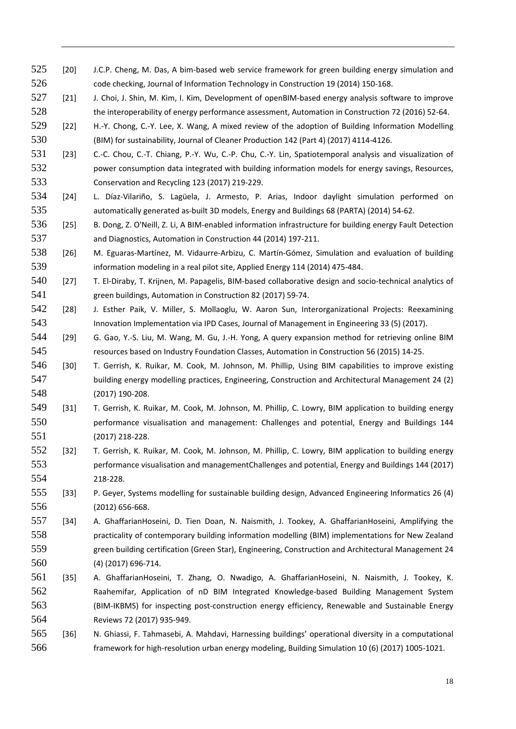- <span id="page-17-14"></span>525 [20] J.C.P. Cheng, M. Das, A bim-based web service framework for green building energy simulation and code checking, Journal of Information Technology in Construction 19 (2014) 150-168.
- <span id="page-17-8"></span>527 [21] J. Choi, J. Shin, M. Kim, I. Kim, Development of openBIM-based energy analysis software to improve the interoperability of energy performance assessment, Automation in Construction 72 (2016) 52-64.
- <span id="page-17-6"></span> [22] H.-Y. Chong, C.-Y. Lee, X. Wang, A mixed review of the adoption of Building Information Modelling (BIM) for sustainability, Journal of Cleaner Production 142 (Part 4) (2017) 4114-4126.
- <span id="page-17-12"></span> [23] C.-C. Chou, C.-T. Chiang, P.-Y. Wu, C.-P. Chu, C.-Y. Lin, Spatiotemporal analysis and visualization of power consumption data integrated with building information models for energy savings, Resources, Conservation and Recycling 123 (2017) 219-229.
- <span id="page-17-0"></span> [24] L. Díaz-Vilariño, S. Lagüela, J. Armesto, P. Arias, Indoor daylight simulation performed on automatically generated as-built 3D models, Energy and Buildings 68 (PARTA) (2014) 54-62.
- <span id="page-17-11"></span> [25] B. Dong, Z. O'Neill, Z. Li, A BIM-enabled information infrastructure for building energy Fault Detection and Diagnostics, Automation in Construction 44 (2014) 197-211.
- <span id="page-17-5"></span> [26] M. Eguaras-Martínez, M. Vidaurre-Arbizu, C. Martín-Gómez, Simulation and evaluation of building information modeling in a real pilot site, Applied Energy 114 (2014) 475-484.
- <span id="page-17-13"></span>540 [27] T. El-Diraby, T. Krijnen, M. Papagelis, BIM-based collaborative design and socio-technical analytics of green buildings, Automation in Construction 82 (2017) 59-74.
- <span id="page-17-4"></span> [28] J. Esther Paik, V. Miller, S. Mollaoglu, W. Aaron Sun, Interorganizational Projects: Reexamining Innovation Implementation via IPD Cases, Journal of Management in Engineering 33 (5) (2017).
- <span id="page-17-15"></span> [29] G. Gao, Y.-S. Liu, M. Wang, M. Gu, J.-H. Yong, A query expansion method for retrieving online BIM resources based on Industry Foundation Classes, Automation in Construction 56 (2015) 14-25.
- <span id="page-17-16"></span> [30] T. Gerrish, K. Ruikar, M. Cook, M. Johnson, M. Phillip, Using BIM capabilities to improve existing building energy modelling practices, Engineering, Construction and Architectural Management 24 (2) (2017) 190-208.
- <span id="page-17-9"></span> [31] T. Gerrish, K. Ruikar, M. Cook, M. Johnson, M. Phillip, C. Lowry, BIM application to building energy performance visualisation and management: Challenges and potential, Energy and Buildings 144 (2017) 218-228.
- <span id="page-17-2"></span> [32] T. Gerrish, K. Ruikar, M. Cook, M. Johnson, M. Phillip, C. Lowry, BIM application to building energy performance visualisation and managementChallenges and potential, Energy and Buildings 144 (2017) 218-228.
- <span id="page-17-10"></span> [33] P. Geyer, Systems modelling for sustainable building design, Advanced Engineering Informatics 26 (4) (2012) 656-668.
- <span id="page-17-7"></span> [34] A. GhaffarianHoseini, D. Tien Doan, N. Naismith, J. Tookey, A. GhaffarianHoseini, Amplifying the practicality of contemporary building information modelling (BIM) implementations for New Zealand green building certification (Green Star), Engineering, Construction and Architectural Management 24 (4) (2017) 696-714.
- <span id="page-17-3"></span> [35] A. GhaffarianHoseini, T. Zhang, O. Nwadigo, A. GhaffarianHoseini, N. Naismith, J. Tookey, K. Raahemifar, Application of nD BIM Integrated Knowledge-based Building Management System (BIM-IKBMS) for inspecting post-construction energy efficiency, Renewable and Sustainable Energy Reviews 72 (2017) 935-949.
- <span id="page-17-1"></span> [36] N. Ghiassi, F. Tahmasebi, A. Mahdavi, Harnessing buildings' operational diversity in a computational framework for high-resolution urban energy modeling, Building Simulation 10 (6) (2017) 1005-1021.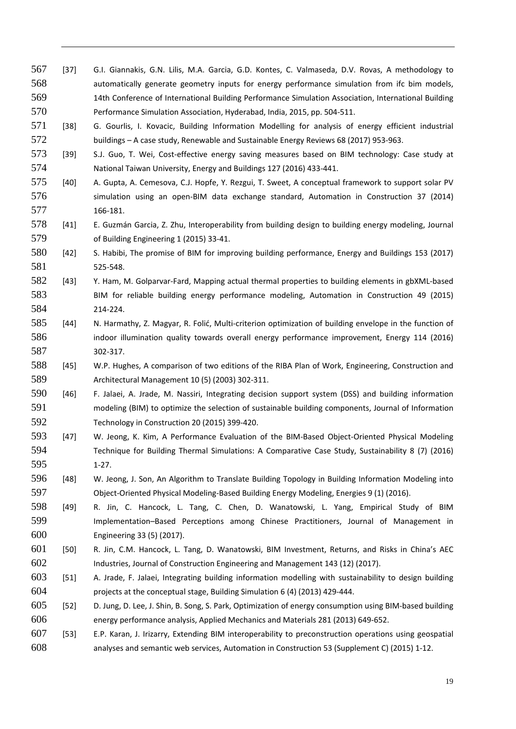<span id="page-18-16"></span><span id="page-18-15"></span><span id="page-18-14"></span><span id="page-18-13"></span><span id="page-18-12"></span><span id="page-18-11"></span><span id="page-18-10"></span><span id="page-18-9"></span><span id="page-18-8"></span><span id="page-18-7"></span><span id="page-18-6"></span><span id="page-18-5"></span><span id="page-18-4"></span><span id="page-18-3"></span><span id="page-18-2"></span><span id="page-18-1"></span><span id="page-18-0"></span>

| 567 | $[37]$ | G.I. Giannakis, G.N. Lilis, M.A. Garcia, G.D. Kontes, C. Valmaseda, D.V. Rovas, A methodology to        |
|-----|--------|---------------------------------------------------------------------------------------------------------|
| 568 |        | automatically generate geometry inputs for energy performance simulation from ifc bim models,           |
| 569 |        | 14th Conference of International Building Performance Simulation Association, International Building    |
| 570 |        | Performance Simulation Association, Hyderabad, India, 2015, pp. 504-511.                                |
| 571 | $[38]$ | G. Gourlis, I. Kovacic, Building Information Modelling for analysis of energy efficient industrial      |
| 572 |        | buildings - A case study, Renewable and Sustainable Energy Reviews 68 (2017) 953-963.                   |
| 573 | $[39]$ | S.J. Guo, T. Wei, Cost-effective energy saving measures based on BIM technology: Case study at          |
| 574 |        | National Taiwan University, Energy and Buildings 127 (2016) 433-441.                                    |
| 575 | $[40]$ | A. Gupta, A. Cemesova, C.J. Hopfe, Y. Rezgui, T. Sweet, A conceptual framework to support solar PV      |
| 576 |        | simulation using an open-BIM data exchange standard, Automation in Construction 37 (2014)               |
| 577 |        | 166-181.                                                                                                |
| 578 | $[41]$ | E. Guzmán Garcia, Z. Zhu, Interoperability from building design to building energy modeling, Journal    |
| 579 |        | of Building Engineering 1 (2015) 33-41.                                                                 |
| 580 | $[42]$ | S. Habibi, The promise of BIM for improving building performance, Energy and Buildings 153 (2017)       |
| 581 |        | 525-548.                                                                                                |
| 582 | $[43]$ | Y. Ham, M. Golparvar-Fard, Mapping actual thermal properties to building elements in gbXML-based        |
| 583 |        | BIM for reliable building energy performance modeling, Automation in Construction 49 (2015)             |
| 584 |        | 214-224.                                                                                                |
| 585 | $[44]$ | N. Harmathy, Z. Magyar, R. Folić, Multi-criterion optimization of building envelope in the function of  |
| 586 |        | indoor illumination quality towards overall energy performance improvement, Energy 114 (2016)           |
| 587 |        | 302-317.                                                                                                |
| 588 | $[45]$ | W.P. Hughes, A comparison of two editions of the RIBA Plan of Work, Engineering, Construction and       |
| 589 |        | Architectural Management 10 (5) (2003) 302-311.                                                         |
| 590 | $[46]$ | F. Jalaei, A. Jrade, M. Nassiri, Integrating decision support system (DSS) and building information     |
| 591 |        | modeling (BIM) to optimize the selection of sustainable building components, Journal of Information     |
| 592 |        | Technology in Construction 20 (2015) 399-420.                                                           |
| 593 | $[47]$ | W. Jeong, K. Kim, A Performance Evaluation of the BIM-Based Object-Oriented Physical Modeling           |
| 594 |        | Technique for Building Thermal Simulations: A Comparative Case Study, Sustainability 8 (7) (2016)       |
| 595 |        | $1-27.$                                                                                                 |
| 596 | $[48]$ | W. Jeong, J. Son, An Algorithm to Translate Building Topology in Building Information Modeling into     |
| 597 |        | Object-Oriented Physical Modeling-Based Building Energy Modeling, Energies 9 (1) (2016).                |
| 598 | $[49]$ | R. Jin, C. Hancock, L. Tang, C. Chen, D. Wanatowski, L. Yang, Empirical Study of BIM                    |
| 599 |        | Implementation-Based Perceptions among Chinese Practitioners, Journal of Management in                  |
| 600 |        | Engineering 33 (5) (2017).                                                                              |
| 601 | $[50]$ | R. Jin, C.M. Hancock, L. Tang, D. Wanatowski, BIM Investment, Returns, and Risks in China's AEC         |
| 602 |        | Industries, Journal of Construction Engineering and Management 143 (12) (2017).                         |
| 603 | $[51]$ | A. Jrade, F. Jalaei, Integrating building information modelling with sustainability to design building  |
| 604 |        | projects at the conceptual stage, Building Simulation 6 (4) (2013) 429-444.                             |
| 605 | $[52]$ | D. Jung, D. Lee, J. Shin, B. Song, S. Park, Optimization of energy consumption using BIM-based building |
| 606 |        | energy performance analysis, Applied Mechanics and Materials 281 (2013) 649-652.                        |
| 607 | $[53]$ | E.P. Karan, J. Irizarry, Extending BIM interoperability to preconstruction operations using geospatial  |
| 608 |        | analyses and semantic web services, Automation in Construction 53 (Supplement C) (2015) 1-12.           |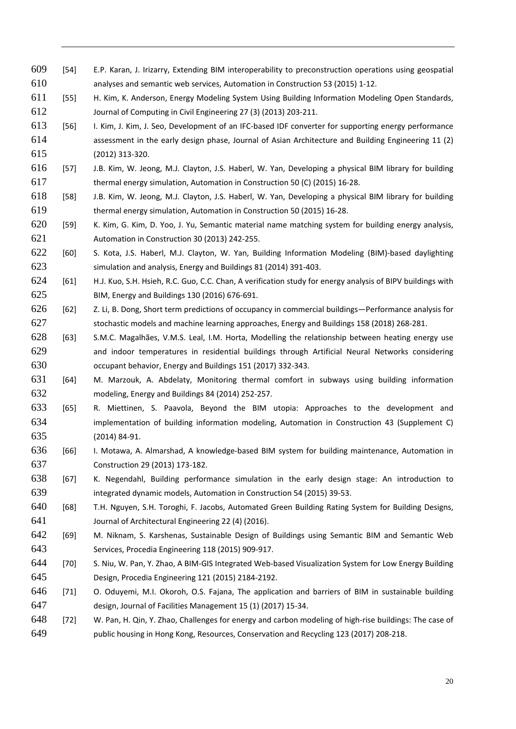- <span id="page-19-15"></span> [54] E.P. Karan, J. Irizarry, Extending BIM interoperability to preconstruction operations using geospatial analyses and semantic web services, Automation in Construction 53 (2015) 1-12.
- <span id="page-19-10"></span> [55] H. Kim, K. Anderson, Energy Modeling System Using Building Information Modeling Open Standards, Journal of Computing in Civil Engineering 27 (3) (2013) 203-211.
- <span id="page-19-3"></span> [56] I. Kim, J. Kim, J. Seo, Development of an IFC-based IDF converter for supporting energy performance assessment in the early design phase, Journal of Asian Architecture and Building Engineering 11 (2) (2012) 313-320.
- <span id="page-19-7"></span> [57] J.B. Kim, W. Jeong, M.J. Clayton, J.S. Haberl, W. Yan, Developing a physical BIM library for building thermal energy simulation, Automation in Construction 50 (C) (2015) 16-28.
- <span id="page-19-12"></span> [58] J.B. Kim, W. Jeong, M.J. Clayton, J.S. Haberl, W. Yan, Developing a physical BIM library for building thermal energy simulation, Automation in Construction 50 (2015) 16-28.
- <span id="page-19-6"></span> [59] K. Kim, G. Kim, D. Yoo, J. Yu, Semantic material name matching system for building energy analysis, Automation in Construction 30 (2013) 242-255.
- <span id="page-19-8"></span> [60] S. Kota, J.S. Haberl, M.J. Clayton, W. Yan, Building Information Modeling (BIM)-based daylighting simulation and analysis, Energy and Buildings 81 (2014) 391-403.
- <span id="page-19-18"></span> [61] H.J. Kuo, S.H. Hsieh, R.C. Guo, C.C. Chan, A verification study for energy analysis of BIPV buildings with BIM, Energy and Buildings 130 (2016) 676-691.
- <span id="page-19-0"></span> [62] Z. Li, B. Dong, Short term predictions of occupancy in commercial buildings—Performance analysis for stochastic models and machine learning approaches, Energy and Buildings 158 (2018) 268-281.
- <span id="page-19-16"></span> [63] S.M.C. Magalhães, V.M.S. Leal, I.M. Horta, Modelling the relationship between heating energy use and indoor temperatures in residential buildings through Artificial Neural Networks considering occupant behavior, Energy and Buildings 151 (2017) 332-343.
- <span id="page-19-5"></span> [64] M. Marzouk, A. Abdelaty, Monitoring thermal comfort in subways using building information modeling, Energy and Buildings 84 (2014) 252-257.
- <span id="page-19-1"></span> [65] R. Miettinen, S. Paavola, Beyond the BIM utopia: Approaches to the development and implementation of building information modeling, Automation in Construction 43 (Supplement C) (2014) 84-91.
- <span id="page-19-17"></span> [66] I. Motawa, A. Almarshad, A knowledge-based BIM system for building maintenance, Automation in Construction 29 (2013) 173-182.
- <span id="page-19-2"></span> [67] K. Negendahl, Building performance simulation in the early design stage: An introduction to integrated dynamic models, Automation in Construction 54 (2015) 39-53.
- <span id="page-19-4"></span> [68] T.H. Nguyen, S.H. Toroghi, F. Jacobs, Automated Green Building Rating System for Building Designs, Journal of Architectural Engineering 22 (4) (2016).
- <span id="page-19-13"></span>642 [69] M. Niknam, S. Karshenas, Sustainable Design of Buildings using Semantic BIM and Semantic Web Services, Procedia Engineering 118 (2015) 909-917.
- <span id="page-19-11"></span> [70] S. Niu, W. Pan, Y. Zhao, A BIM-GIS Integrated Web-based Visualization System for Low Energy Building Design, Procedia Engineering 121 (2015) 2184-2192.
- <span id="page-19-14"></span> [71] O. Oduyemi, M.I. Okoroh, O.S. Fajana, The application and barriers of BIM in sustainable building design, Journal of Facilities Management 15 (1) (2017) 15-34.
- <span id="page-19-9"></span> [72] W. Pan, H. Qin, Y. Zhao, Challenges for energy and carbon modeling of high-rise buildings: The case of public housing in Hong Kong, Resources, Conservation and Recycling 123 (2017) 208-218.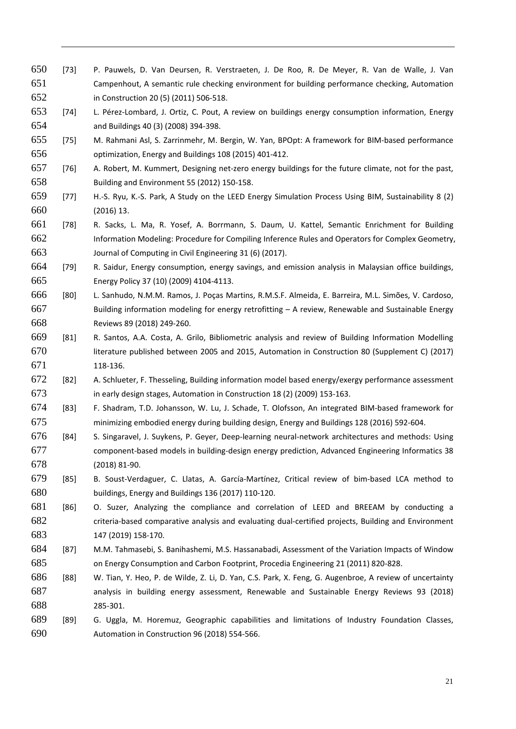<span id="page-20-16"></span><span id="page-20-15"></span><span id="page-20-14"></span><span id="page-20-13"></span><span id="page-20-12"></span><span id="page-20-11"></span><span id="page-20-10"></span><span id="page-20-9"></span><span id="page-20-8"></span><span id="page-20-7"></span><span id="page-20-6"></span><span id="page-20-5"></span><span id="page-20-4"></span><span id="page-20-3"></span><span id="page-20-2"></span><span id="page-20-1"></span><span id="page-20-0"></span> [73] P. Pauwels, D. Van Deursen, R. Verstraeten, J. De Roo, R. De Meyer, R. Van de Walle, J. Van Campenhout, A semantic rule checking environment for building performance checking, Automation in Construction 20 (5) (2011) 506-518. [74] L. Pérez-Lombard, J. Ortiz, C. Pout, A review on buildings energy consumption information, Energy and Buildings 40 (3) (2008) 394-398. [75] M. Rahmani Asl, S. Zarrinmehr, M. Bergin, W. Yan, BPOpt: A framework for BIM-based performance optimization, Energy and Buildings 108 (2015) 401-412. [76] A. Robert, M. Kummert, Designing net-zero energy buildings for the future climate, not for the past, Building and Environment 55 (2012) 150-158. [77] H.-S. Ryu, K.-S. Park, A Study on the LEED Energy Simulation Process Using BIM, Sustainability 8 (2) (2016) 13. [78] R. Sacks, L. Ma, R. Yosef, A. Borrmann, S. Daum, U. Kattel, Semantic Enrichment for Building Information Modeling: Procedure for Compiling Inference Rules and Operators for Complex Geometry, Journal of Computing in Civil Engineering 31 (6) (2017). [79] R. Saidur, Energy consumption, energy savings, and emission analysis in Malaysian office buildings, Energy Policy 37 (10) (2009) 4104-4113. [80] L. Sanhudo, N.M.M. Ramos, J. Poças Martins, R.M.S.F. Almeida, E. Barreira, M.L. Simões, V. Cardoso, Building information modeling for energy retrofitting – A review, Renewable and Sustainable Energy Reviews 89 (2018) 249-260. [81] R. Santos, A.A. Costa, A. Grilo, Bibliometric analysis and review of Building Information Modelling literature published between 2005 and 2015, Automation in Construction 80 (Supplement C) (2017) 118-136. 672 [82] A. Schlueter, F. Thesseling, Building information model based energy/exergy performance assessment in early design stages, Automation in Construction 18 (2) (2009) 153-163. [83] F. Shadram, T.D. Johansson, W. Lu, J. Schade, T. Olofsson, An integrated BIM-based framework for minimizing embodied energy during building design, Energy and Buildings 128 (2016) 592-604. [84] S. Singaravel, J. Suykens, P. Geyer, Deep-learning neural-network architectures and methods: Using component-based models in building-design energy prediction, Advanced Engineering Informatics 38 (2018) 81-90. [85] B. Soust-Verdaguer, C. Llatas, A. García-Martínez, Critical review of bim-based LCA method to buildings, Energy and Buildings 136 (2017) 110-120. [86] O. Suzer, Analyzing the compliance and correlation of LEED and BREEAM by conducting a criteria-based comparative analysis and evaluating dual-certified projects, Building and Environment 147 (2019) 158-170. [87] M.M. Tahmasebi, S. Banihashemi, M.S. Hassanabadi, Assessment of the Variation Impacts of Window on Energy Consumption and Carbon Footprint, Procedia Engineering 21 (2011) 820-828. [88] W. Tian, Y. Heo, P. de Wilde, Z. Li, D. Yan, C.S. Park, X. Feng, G. Augenbroe, A review of uncertainty analysis in building energy assessment, Renewable and Sustainable Energy Reviews 93 (2018) 285-301. [89] G. Uggla, M. Horemuz, Geographic capabilities and limitations of Industry Foundation Classes, Automation in Construction 96 (2018) 554-566.